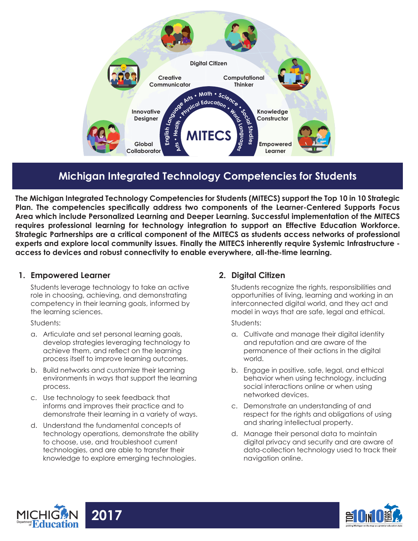

# **Michigan Integrated Technology Competencies for Students**

**The Michigan Integrated Technology Competencies for Students (MITECS) support the Top 10 in 10 Strategic Plan. The competencies specifically address two components of the Learner-Centered Supports Focus Area which include Personalized Learning and Deeper Learning. Successful implementation of the MITECS requires professional learning for technology integration to support an Effective Education Workforce. Strategic Partnerships are a critical component of the MITECS as students access networks of professional experts and explore local community issues. Finally the MITECS inherently require Systemic Infrastructure access to devices and robust connectivity to enable everywhere, all-the-time learning.**

#### **1. Empowered Learner**

Students leverage technology to take an active role in choosing, achieving, and demonstrating competency in their learning goals, informed by the learning sciences.

Students:

- a. Articulate and set personal learning goals, develop strategies leveraging technology to achieve them, and reflect on the learning process itself to improve learning outcomes.
- b. Build networks and customize their learning environments in ways that support the learning process.
- c. Use technology to seek feedback that informs and improves their practice and to demonstrate their learning in a variety of ways.
- d. Understand the fundamental concepts of technology operations, demonstrate the ability to choose, use, and troubleshoot current technologies, and are able to transfer their knowledge to explore emerging technologies.

### **2. Digital Citizen**

Students recognize the rights, responsibilities and opportunities of living, learning and working in an interconnected digital world, and they act and model in ways that are safe, legal and ethical.

#### Students:

- a. Cultivate and manage their digital identity and reputation and are aware of the permanence of their actions in the digital world.
- b. Engage in positive, safe, legal, and ethical behavior when using technology, including social interactions online or when using networked devices.
- c. Demonstrate an understanding of and respect for the rights and obligations of using and sharing intellectual property.
- d. Manage their personal data to maintain digital privacy and security and are aware of data-collection technology used to track their navigation online.